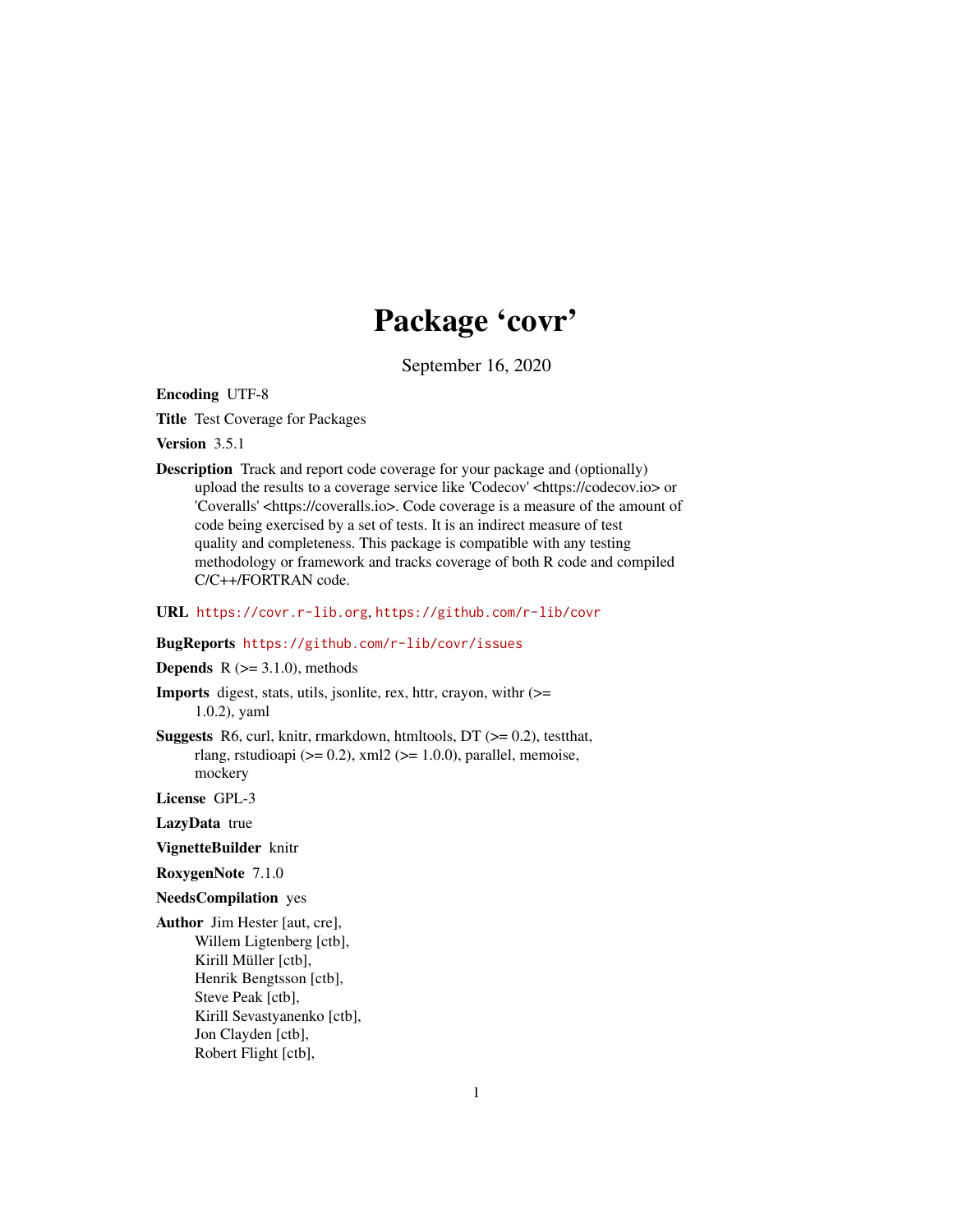## Package 'covr'

September 16, 2020

<span id="page-0-0"></span>Encoding UTF-8

Title Test Coverage for Packages

Version 3.5.1

- Description Track and report code coverage for your package and (optionally) upload the results to a coverage service like 'Codecov' <https://codecov.io> or 'Coveralls' <https://coveralls.io>. Code coverage is a measure of the amount of code being exercised by a set of tests. It is an indirect measure of test quality and completeness. This package is compatible with any testing methodology or framework and tracks coverage of both R code and compiled C/C++/FORTRAN code.
- URL <https://covr.r-lib.org>, <https://github.com/r-lib/covr>

## BugReports <https://github.com/r-lib/covr/issues>

**Depends** R  $(>= 3.1.0)$ , methods

- Imports digest, stats, utils, jsonlite, rex, httr, crayon, withr (>= 1.0.2), yaml
- **Suggests** R6, curl, knitr, rmarkdown, htmltools,  $DT$  ( $>= 0.2$ ), testthat, rlang, rstudioapi ( $>= 0.2$ ), xml $\frac{2}{-1.0.0}$ , parallel, memoise, mockery

License GPL-3

LazyData true

- VignetteBuilder knitr
- RoxygenNote 7.1.0

NeedsCompilation yes

Author Jim Hester [aut, cre], Willem Ligtenberg [ctb], Kirill Müller [ctb], Henrik Bengtsson [ctb], Steve Peak [ctb], Kirill Sevastyanenko [ctb], Jon Clayden [ctb], Robert Flight [ctb],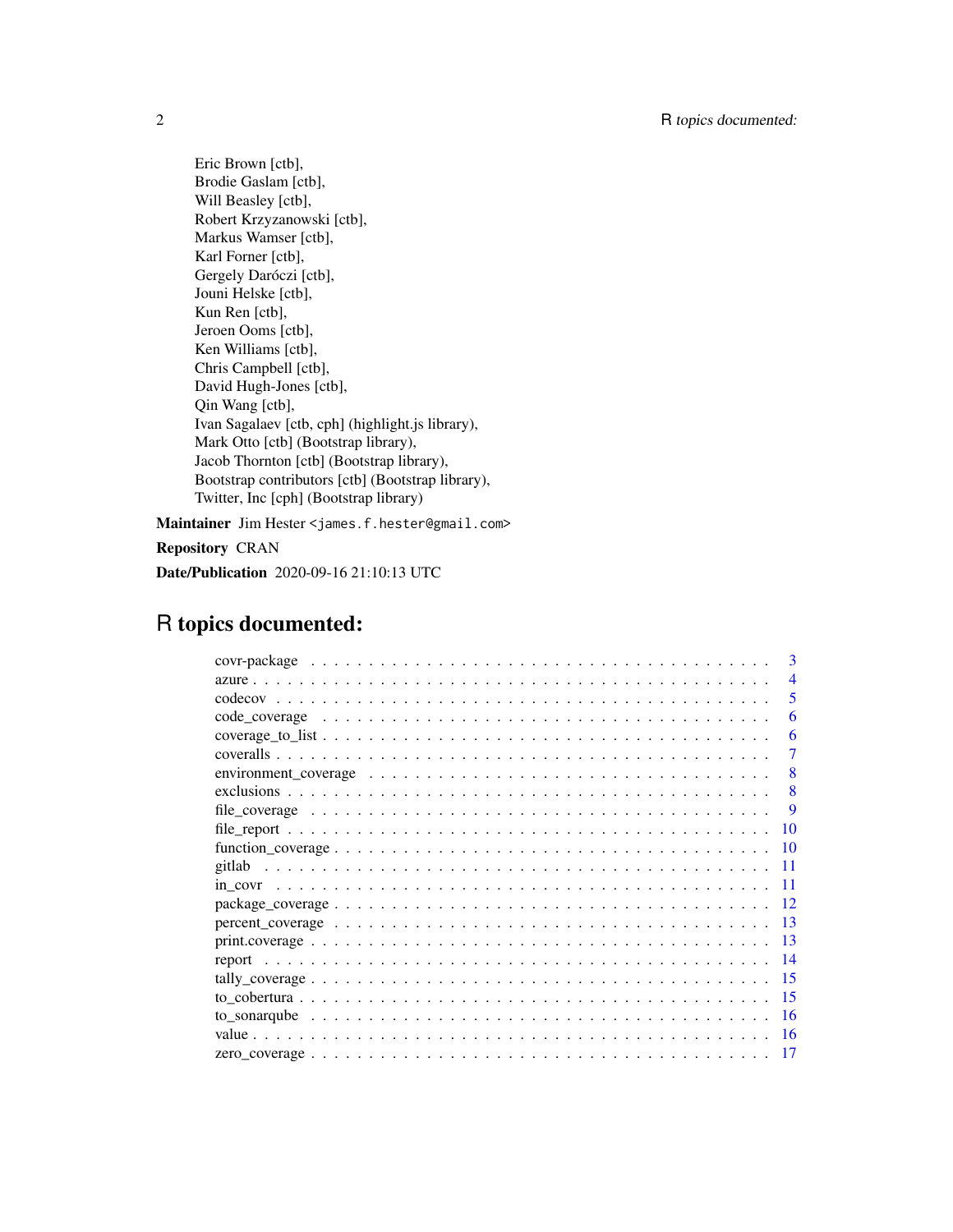Eric Brown [ctb], Brodie Gaslam [ctb], Will Beasley [ctb], Robert Krzyzanowski [ctb], Markus Wamser [ctb], Karl Forner [ctb], Gergely Daróczi [ctb], Jouni Helske [ctb], Kun Ren [ctb], Jeroen Ooms [ctb], Ken Williams [ctb], Chris Campbell [ctb], David Hugh-Jones [ctb], Qin Wang [ctb], Ivan Sagalaev [ctb, cph] (highlight.js library), Mark Otto [ctb] (Bootstrap library), Jacob Thornton [ctb] (Bootstrap library), Bootstrap contributors [ctb] (Bootstrap library), Twitter, Inc [cph] (Bootstrap library)

Maintainer Jim Hester <james.f.hester@gmail.com>

Repository CRAN

Date/Publication 2020-09-16 21:10:13 UTC

## R topics documented:

|                                                                                                                   | 3   |
|-------------------------------------------------------------------------------------------------------------------|-----|
|                                                                                                                   | 4   |
|                                                                                                                   | 5   |
|                                                                                                                   | 6   |
|                                                                                                                   | 6   |
|                                                                                                                   | 7   |
| environment_coverage $\ldots \ldots \ldots \ldots \ldots \ldots \ldots \ldots \ldots \ldots \ldots \ldots \ldots$ | 8   |
|                                                                                                                   | 8   |
|                                                                                                                   | 9   |
|                                                                                                                   | 10  |
|                                                                                                                   | 10  |
|                                                                                                                   | 11  |
|                                                                                                                   | 11  |
|                                                                                                                   | 12  |
|                                                                                                                   | -13 |
|                                                                                                                   | -13 |
|                                                                                                                   | 14  |
|                                                                                                                   | 15  |
|                                                                                                                   | 15  |
|                                                                                                                   | -16 |
|                                                                                                                   | -16 |
|                                                                                                                   | 17  |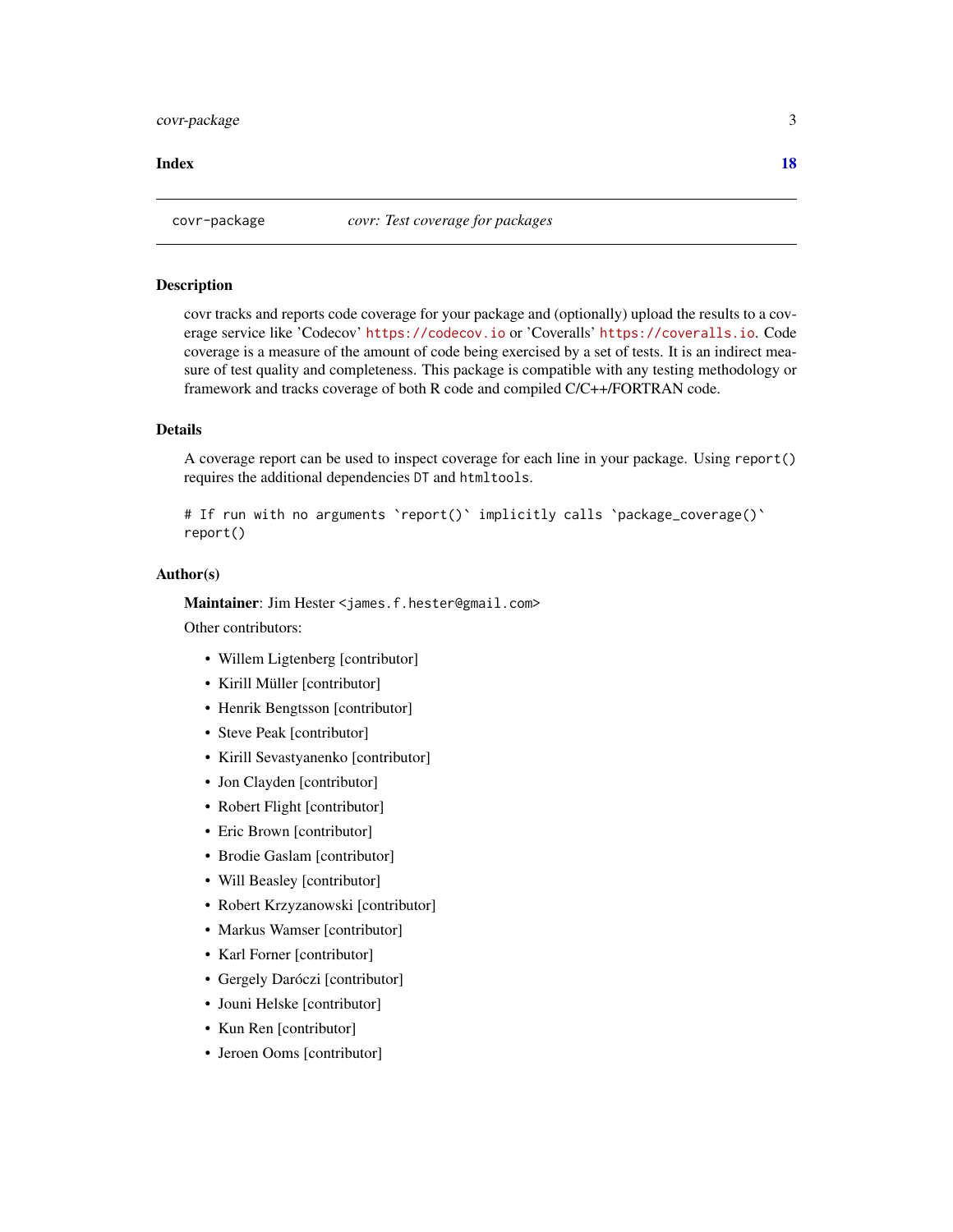#### <span id="page-2-0"></span>**Index** 2008 **[18](#page-17-0)**

#### Description

covr tracks and reports code coverage for your package and (optionally) upload the results to a coverage service like 'Codecov' <https://codecov.io> or 'Coveralls' <https://coveralls.io>. Code coverage is a measure of the amount of code being exercised by a set of tests. It is an indirect measure of test quality and completeness. This package is compatible with any testing methodology or framework and tracks coverage of both R code and compiled C/C++/FORTRAN code.

#### Details

A coverage report can be used to inspect coverage for each line in your package. Using report() requires the additional dependencies DT and htmltools.

```
# If run with no arguments `report()` implicitly calls `package_coverage()`
report()
```
#### Author(s)

Maintainer: Jim Hester <james.f.hester@gmail.com>

Other contributors:

- Willem Ligtenberg [contributor]
- Kirill Müller [contributor]
- Henrik Bengtsson [contributor]
- Steve Peak [contributor]
- Kirill Sevastyanenko [contributor]
- Jon Clayden [contributor]
- Robert Flight [contributor]
- Eric Brown [contributor]
- Brodie Gaslam [contributor]
- Will Beasley [contributor]
- Robert Krzyzanowski [contributor]
- Markus Wamser [contributor]
- Karl Forner [contributor]
- Gergely Daróczi [contributor]
- Jouni Helske [contributor]
- Kun Ren [contributor]
- Jeroen Ooms [contributor]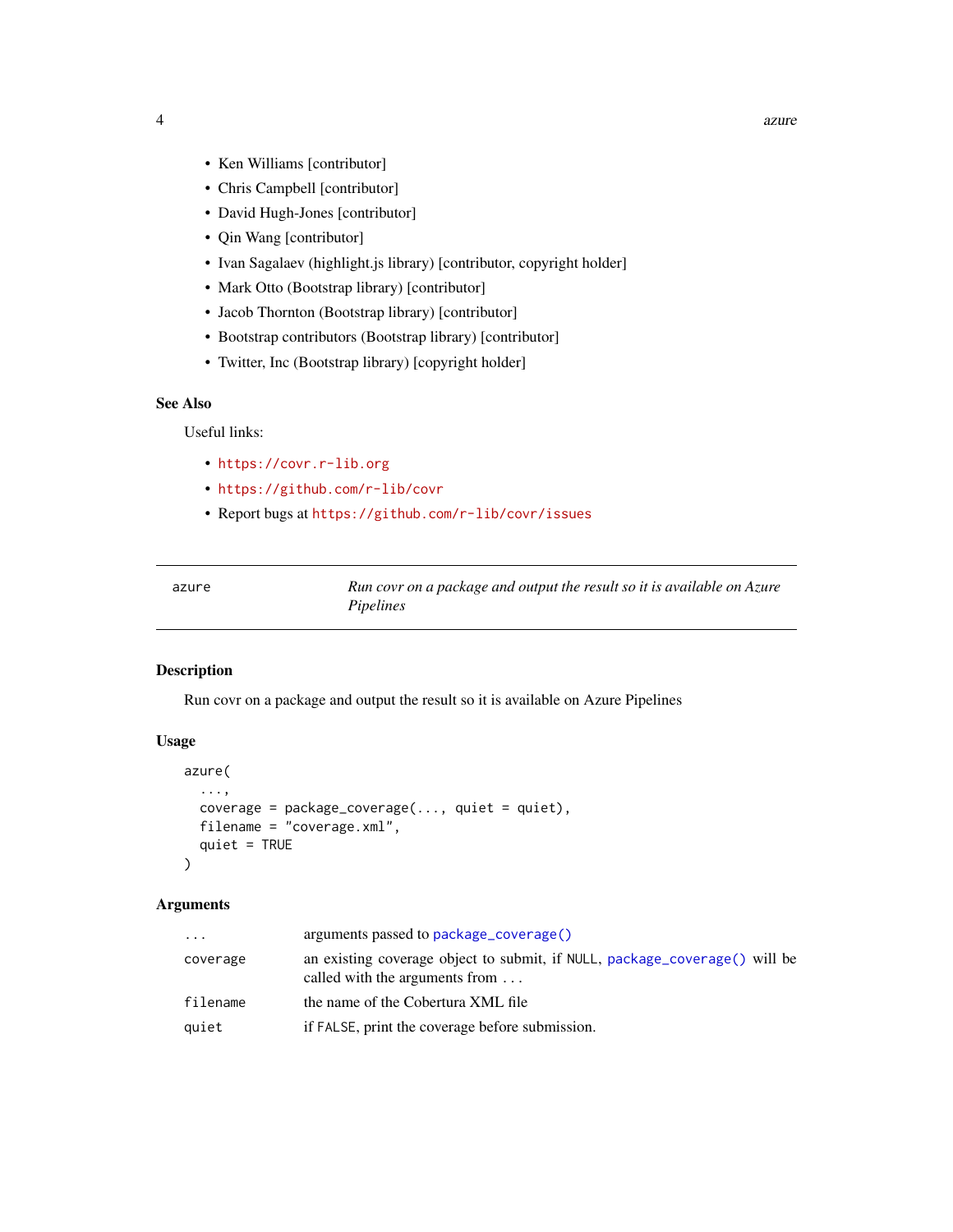- <span id="page-3-0"></span>• Ken Williams [contributor]
- Chris Campbell [contributor]
- David Hugh-Jones [contributor]
- Qin Wang [contributor]
- Ivan Sagalaev (highlight.js library) [contributor, copyright holder]
- Mark Otto (Bootstrap library) [contributor]
- Jacob Thornton (Bootstrap library) [contributor]
- Bootstrap contributors (Bootstrap library) [contributor]
- Twitter, Inc (Bootstrap library) [copyright holder]

## See Also

Useful links:

- <https://covr.r-lib.org>
- <https://github.com/r-lib/covr>
- Report bugs at <https://github.com/r-lib/covr/issues>

Run covr on a package and output the result so it is available on Azure *Pipelines*

#### Description

Run covr on a package and output the result so it is available on Azure Pipelines

#### Usage

```
azure(
  ...,
  coverage = package\_coverage(..., quite = quiet),filename = "coverage.xml",
  quiet = TRUE
)
```

| $\cdots$ | arguments passed to package_coverage()                                                                               |
|----------|----------------------------------------------------------------------------------------------------------------------|
| coverage | an existing coverage object to submit, if NULL, package_coverage() will be<br>called with the arguments from $\dots$ |
| filename | the name of the Cobertura XML file                                                                                   |
| quiet    | if FALSE, print the coverage before submission.                                                                      |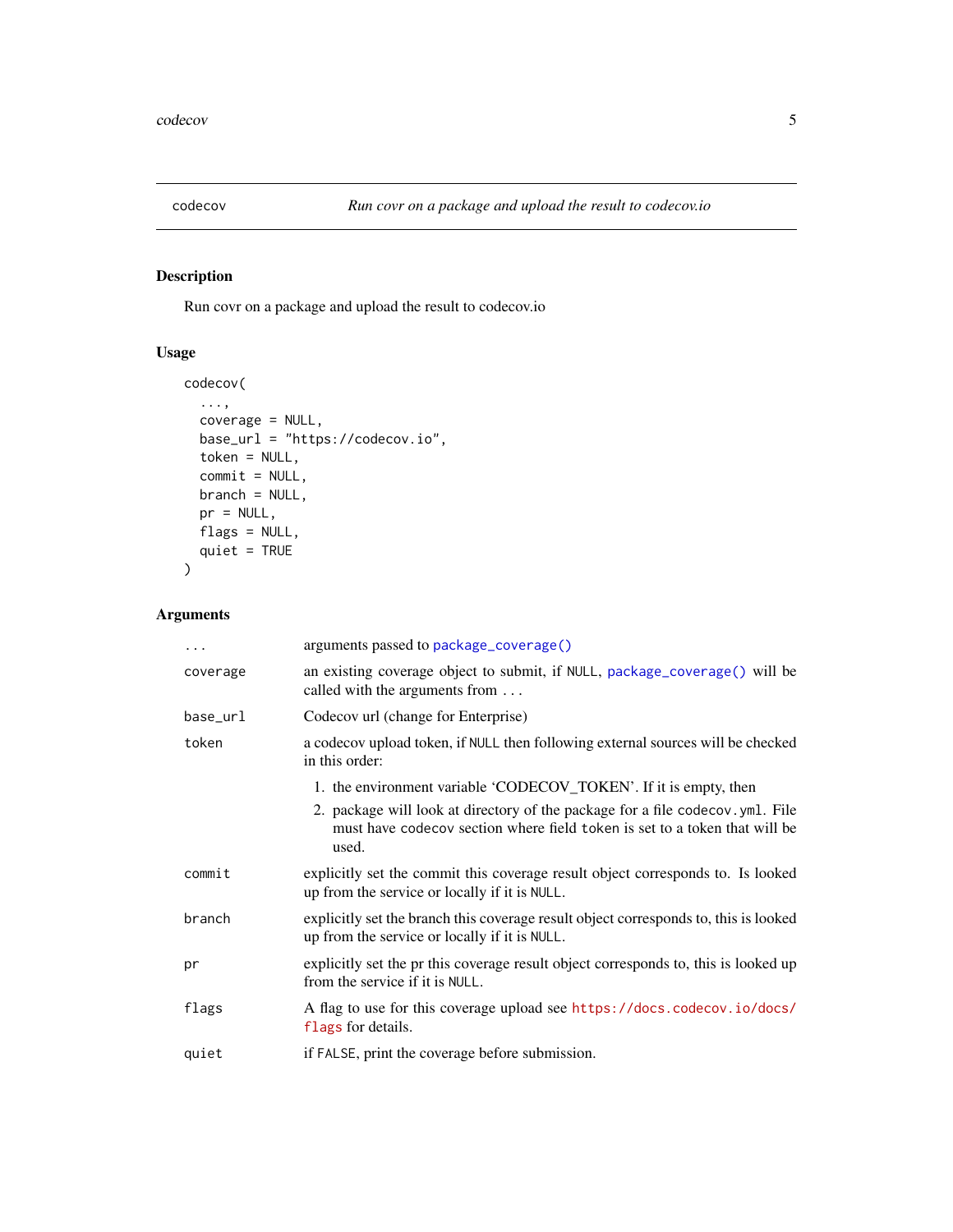<span id="page-4-0"></span>

Run covr on a package and upload the result to codecov.io

## Usage

```
codecov(
  ...,
 coverage = NULL,
 base_url = "https://codecov.io",
 token = NULL,
 commit = NULL,branch = NULL,
 pr = NULL,flags = NULL,
 quiet = TRUE)
```

| .        | arguments passed to package_coverage()                                                                                                                                                                                                    |
|----------|-------------------------------------------------------------------------------------------------------------------------------------------------------------------------------------------------------------------------------------------|
| coverage | an existing coverage object to submit, if NULL, package_coverage() will be<br>called with the arguments from                                                                                                                              |
| base_url | Codecov url (change for Enterprise)                                                                                                                                                                                                       |
| token    | a codecov upload token, if NULL then following external sources will be checked<br>in this order:                                                                                                                                         |
|          | 1. the environment variable 'CODECOV_TOKEN'. If it is empty, then<br>2. package will look at directory of the package for a file codecov.yml. File<br>must have codecov section where field token is set to a token that will be<br>used. |
| commit   | explicitly set the commit this coverage result object corresponds to. Is looked<br>up from the service or locally if it is NULL.                                                                                                          |
| branch   | explicitly set the branch this coverage result object corresponds to, this is looked<br>up from the service or locally if it is NULL.                                                                                                     |
| pr       | explicitly set the pr this coverage result object corresponds to, this is looked up<br>from the service if it is NULL.                                                                                                                    |
| flags    | A flag to use for this coverage upload see https://docs.codecov.io/docs/<br>flags for details.                                                                                                                                            |
| quiet    | if FALSE, print the coverage before submission.                                                                                                                                                                                           |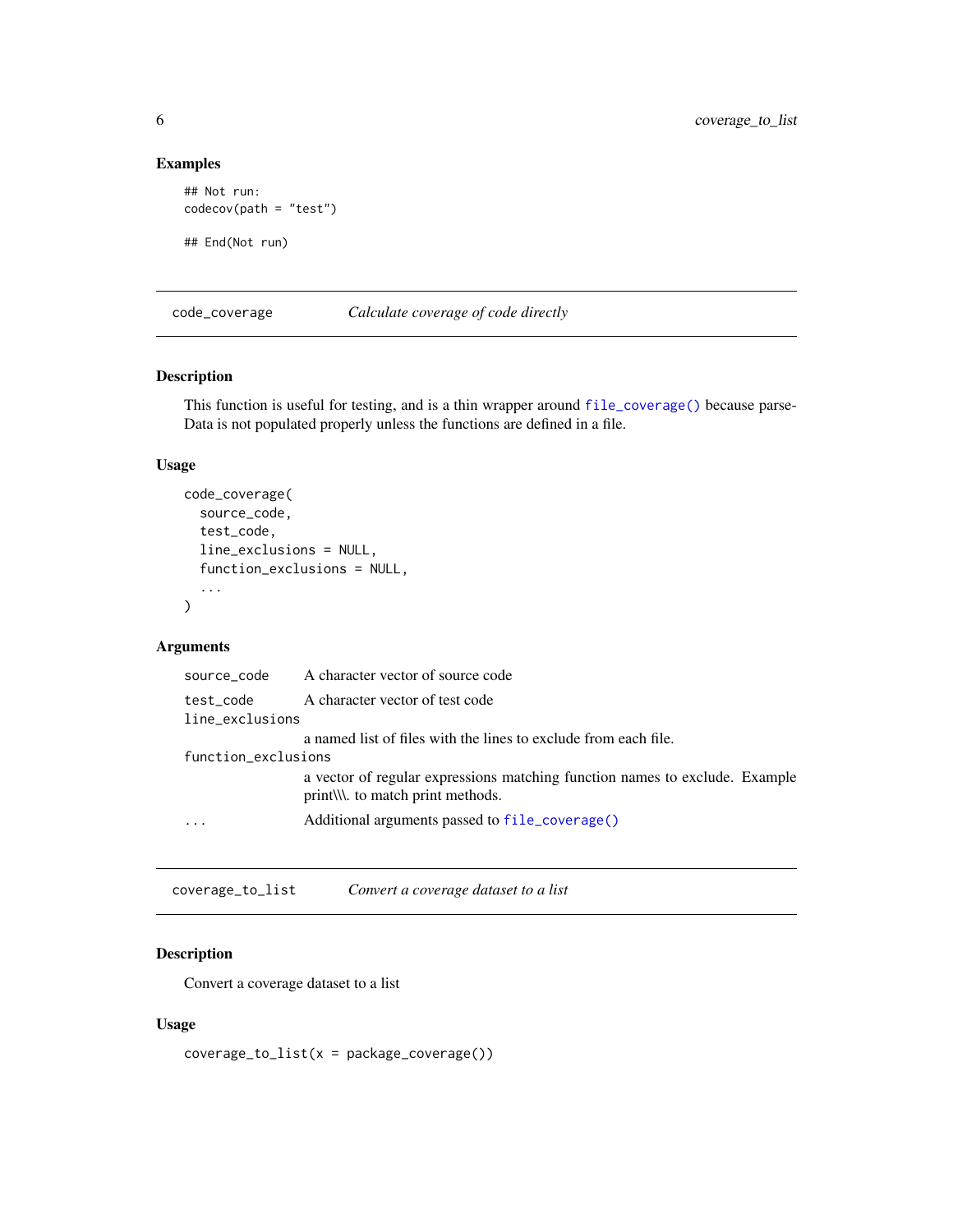## Examples

```
## Not run:
codecov(path = "test")
## End(Not run)
```
code\_coverage *Calculate coverage of code directly*

## Description

This function is useful for testing, and is a thin wrapper around [file\\_coverage\(\)](#page-8-1) because parse-Data is not populated properly unless the functions are defined in a file.

## Usage

```
code_coverage(
  source_code,
  test_code,
  line_exclusions = NULL,
  function_exclusions = NULL,
  ...
\mathcal{L}
```
## Arguments

|                     | source_code A character vector of source code                                                                |
|---------------------|--------------------------------------------------------------------------------------------------------------|
| test code           | A character vector of test code                                                                              |
| line_exclusions     |                                                                                                              |
|                     | a named list of files with the lines to exclude from each file.                                              |
| function_exclusions |                                                                                                              |
|                     | a vector of regular expressions matching function names to exclude. Example<br>print to match print methods. |
| $\ddots$            | Additional arguments passed to file_coverage()                                                               |
|                     |                                                                                                              |

coverage\_to\_list *Convert a coverage dataset to a list*

## Description

Convert a coverage dataset to a list

## Usage

 $coverage_to_list(x = package\_coverage())$ 

<span id="page-5-0"></span>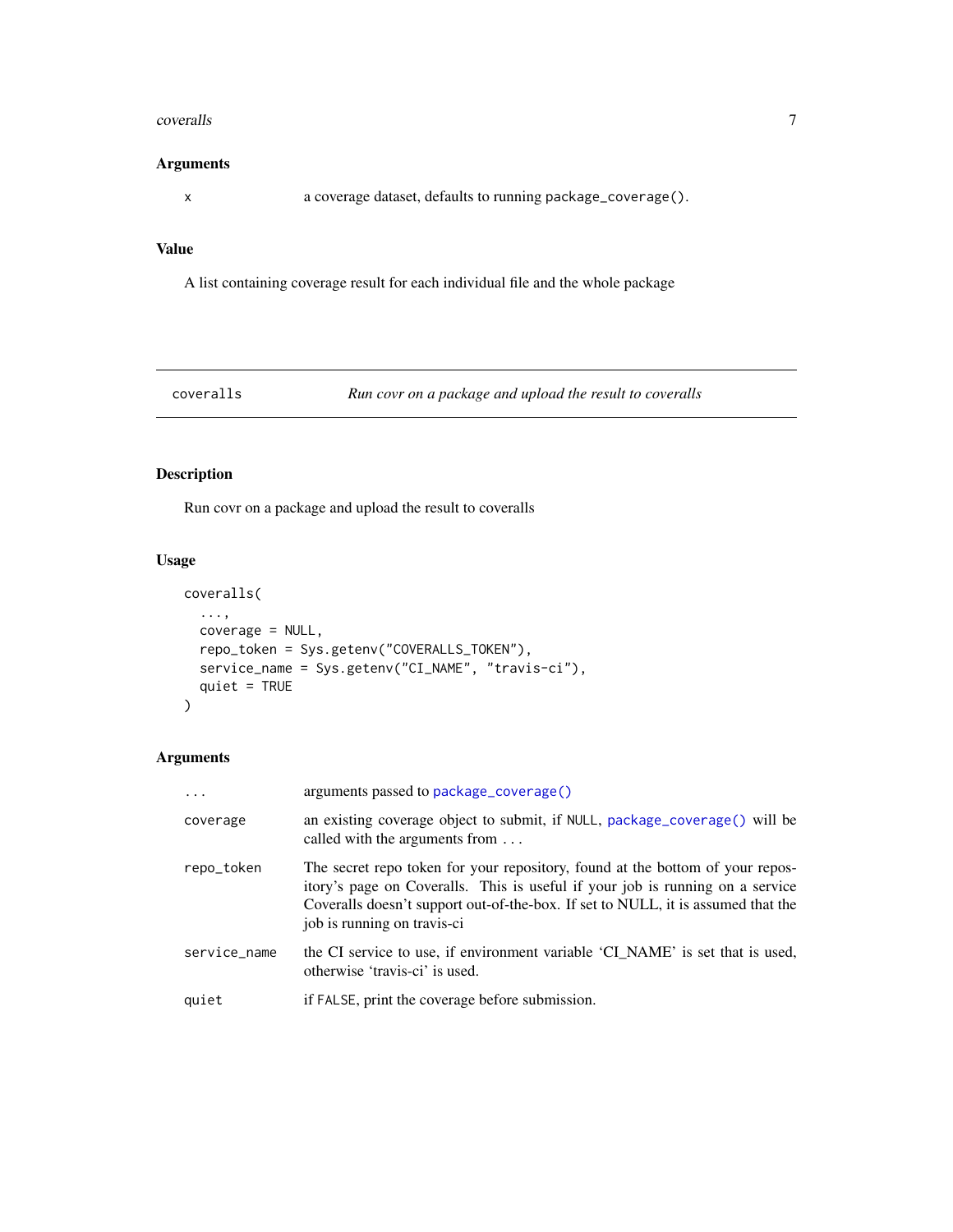#### <span id="page-6-0"></span>coveralls **7**

#### Arguments

x a coverage dataset, defaults to running package\_coverage().

## Value

A list containing coverage result for each individual file and the whole package

coveralls *Run covr on a package and upload the result to coveralls*

## Description

Run covr on a package and upload the result to coveralls

## Usage

```
coveralls(
  ...,
 coverage = NULL,
 repo_token = Sys.getenv("COVERALLS_TOKEN"),
 service_name = Sys.getenv("CI_NAME", "travis-ci"),
 quiet = TRUE)
```

| $\cdot$      | arguments passed to package_coverage()                                                                                                                                                                                                                                            |
|--------------|-----------------------------------------------------------------------------------------------------------------------------------------------------------------------------------------------------------------------------------------------------------------------------------|
| coverage     | an existing coverage object to submit, if NULL, package_coverage() will be<br>called with the arguments from $\dots$                                                                                                                                                              |
| repo_token   | The secret repo token for your repository, found at the bottom of your repos-<br>itory's page on Coveralls. This is useful if your job is running on a service<br>Coveralls doesn't support out-of-the-box. If set to NULL, it is assumed that the<br>job is running on travis-ci |
| service_name | the CI service to use, if environment variable 'CI_NAME' is set that is used,<br>otherwise 'travis-ci' is used.                                                                                                                                                                   |
| quiet        | if FALSE, print the coverage before submission.                                                                                                                                                                                                                                   |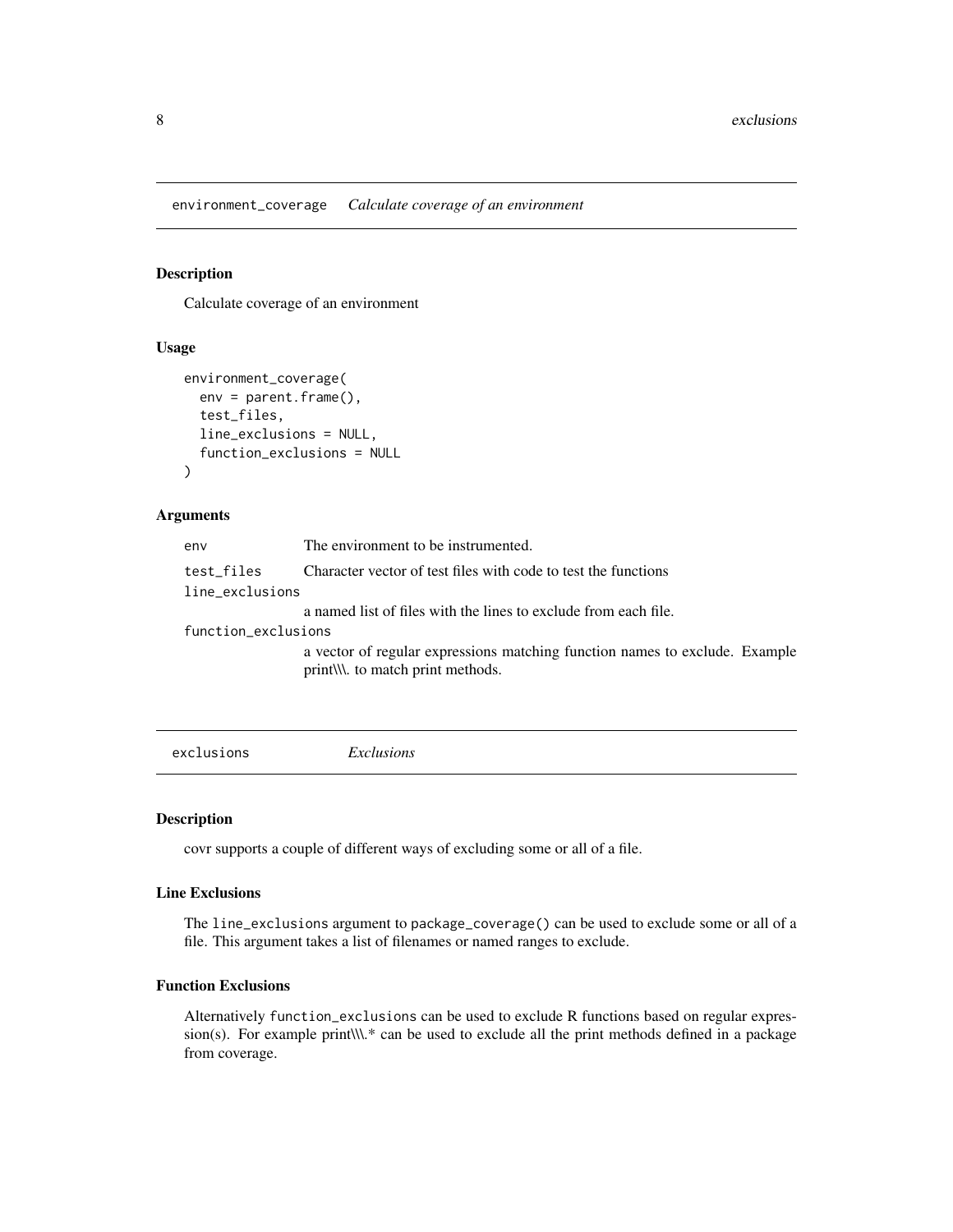<span id="page-7-0"></span>environment\_coverage *Calculate coverage of an environment*

## Description

Calculate coverage of an environment

#### Usage

```
environment_coverage(
  env = parent.Fname(),test_files,
  line_exclusions = NULL,
  function_exclusions = NULL
)
```
## Arguments

| env                 | The environment to be instrumented.                                                                          |
|---------------------|--------------------------------------------------------------------------------------------------------------|
| test files          | Character vector of test files with code to test the functions                                               |
| line_exclusions     |                                                                                                              |
|                     | a named list of files with the lines to exclude from each file.                                              |
| function_exclusions |                                                                                                              |
|                     | a vector of regular expressions matching function names to exclude. Example<br>print to match print methods. |
|                     |                                                                                                              |

<span id="page-7-1"></span>exclusions *Exclusions*

#### Description

covr supports a couple of different ways of excluding some or all of a file.

## Line Exclusions

The line\_exclusions argument to package\_coverage() can be used to exclude some or all of a file. This argument takes a list of filenames or named ranges to exclude.

#### Function Exclusions

Alternatively function\_exclusions can be used to exclude R functions based on regular expression(s). For example print\\\.\* can be used to exclude all the print methods defined in a package from coverage.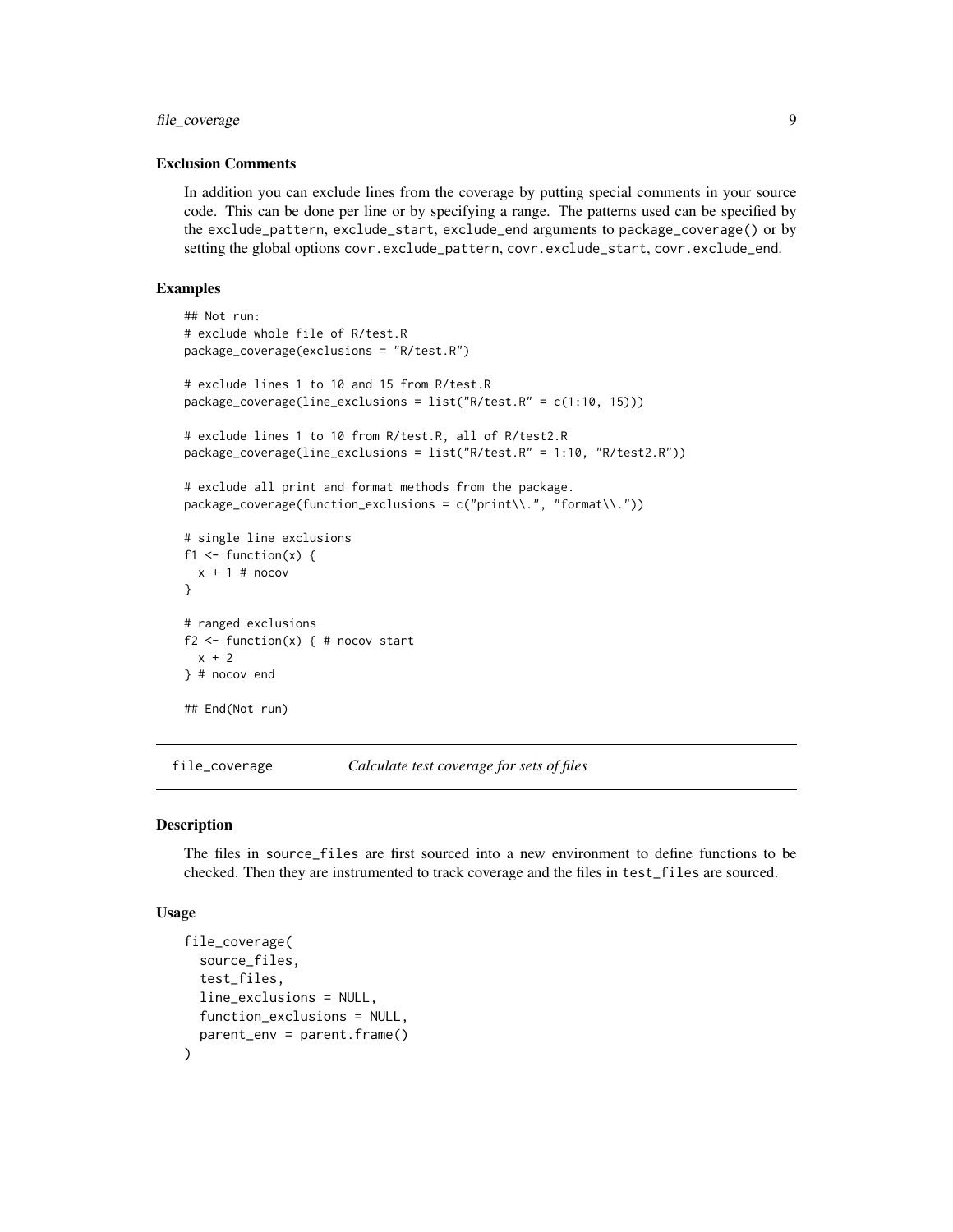## <span id="page-8-0"></span>file\_coverage 9

## Exclusion Comments

In addition you can exclude lines from the coverage by putting special comments in your source code. This can be done per line or by specifying a range. The patterns used can be specified by the exclude\_pattern, exclude\_start, exclude\_end arguments to package\_coverage() or by setting the global options covr.exclude\_pattern, covr.exclude\_start, covr.exclude\_end.

#### Examples

```
## Not run:
# exclude whole file of R/test.R
package_coverage(exclusions = "R/test.R")
# exclude lines 1 to 10 and 15 from R/test.R
package_coverage(line_exclusions = list("R/test.R" = c(1:10, 15)))
# exclude lines 1 to 10 from R/test.R, all of R/test2.R
package_coverage(line_exclusions = list("R/test.R" = 1:10, "R/test2.R"))
# exclude all print and format methods from the package.
package_coverage(function_exclusions = c("print\\.", "format\\."))
# single line exclusions
f1 \le function(x) {
 x + 1 # nocov
}
# ranged exclusions
f2 \leq - function(x) { # nocov start
 x + 2} # nocov end
## End(Not run)
```
<span id="page-8-1"></span>file\_coverage *Calculate test coverage for sets of files*

#### Description

The files in source\_files are first sourced into a new environment to define functions to be checked. Then they are instrumented to track coverage and the files in test\_files are sourced.

#### Usage

```
file_coverage(
  source_files,
  test_files,
  line_exclusions = NULL,
  function_exclusions = NULL,
  parent_env = parent.frame()
)
```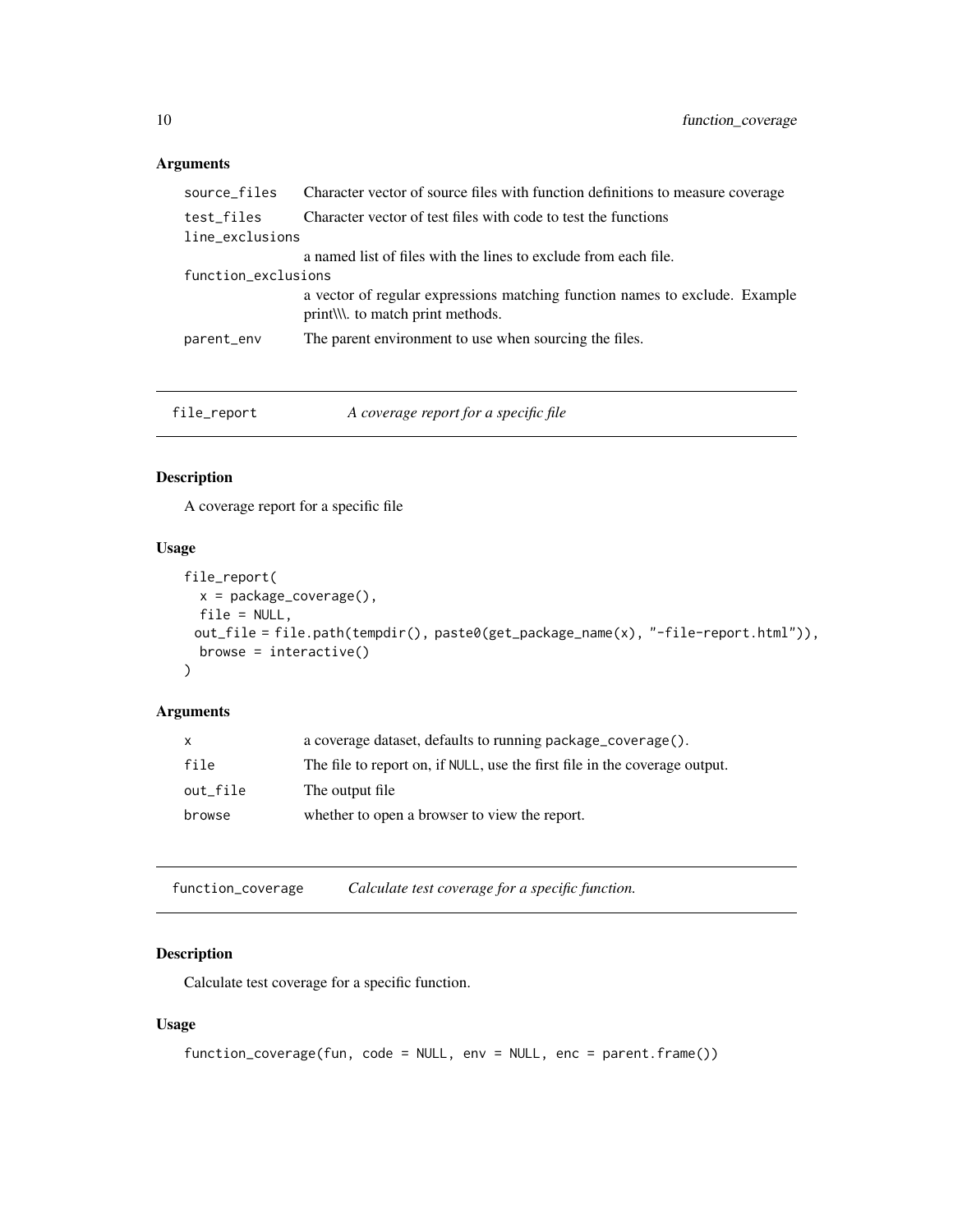## <span id="page-9-0"></span>Arguments

| source_files        | Character vector of source files with function definitions to measure coverage                                    |
|---------------------|-------------------------------------------------------------------------------------------------------------------|
| test_files          | Character vector of test files with code to test the functions                                                    |
| line_exclusions     |                                                                                                                   |
|                     | a named list of files with the lines to exclude from each file.                                                   |
| function_exclusions |                                                                                                                   |
|                     | a vector of regular expressions matching function names to exclude. Example<br>print\\\\. to match print methods. |
| parent_env          | The parent environment to use when sourcing the files.                                                            |
|                     |                                                                                                                   |

| file_report | A coverage report for a specific file |
|-------------|---------------------------------------|
|             |                                       |

## Description

A coverage report for a specific file

## Usage

```
file_report(
 x = package_coverage(),
 file = NULL,
 out_file = file.path(tempdir(), paste0(get_package_name(x), "-file-report.html")),
 browse = interactive()
)
```
## Arguments

function\_coverage *Calculate test coverage for a specific function.*

## Description

Calculate test coverage for a specific function.

## Usage

```
function_coverage(fun, code = NULL, env = NULL, enc = parent.frame())
```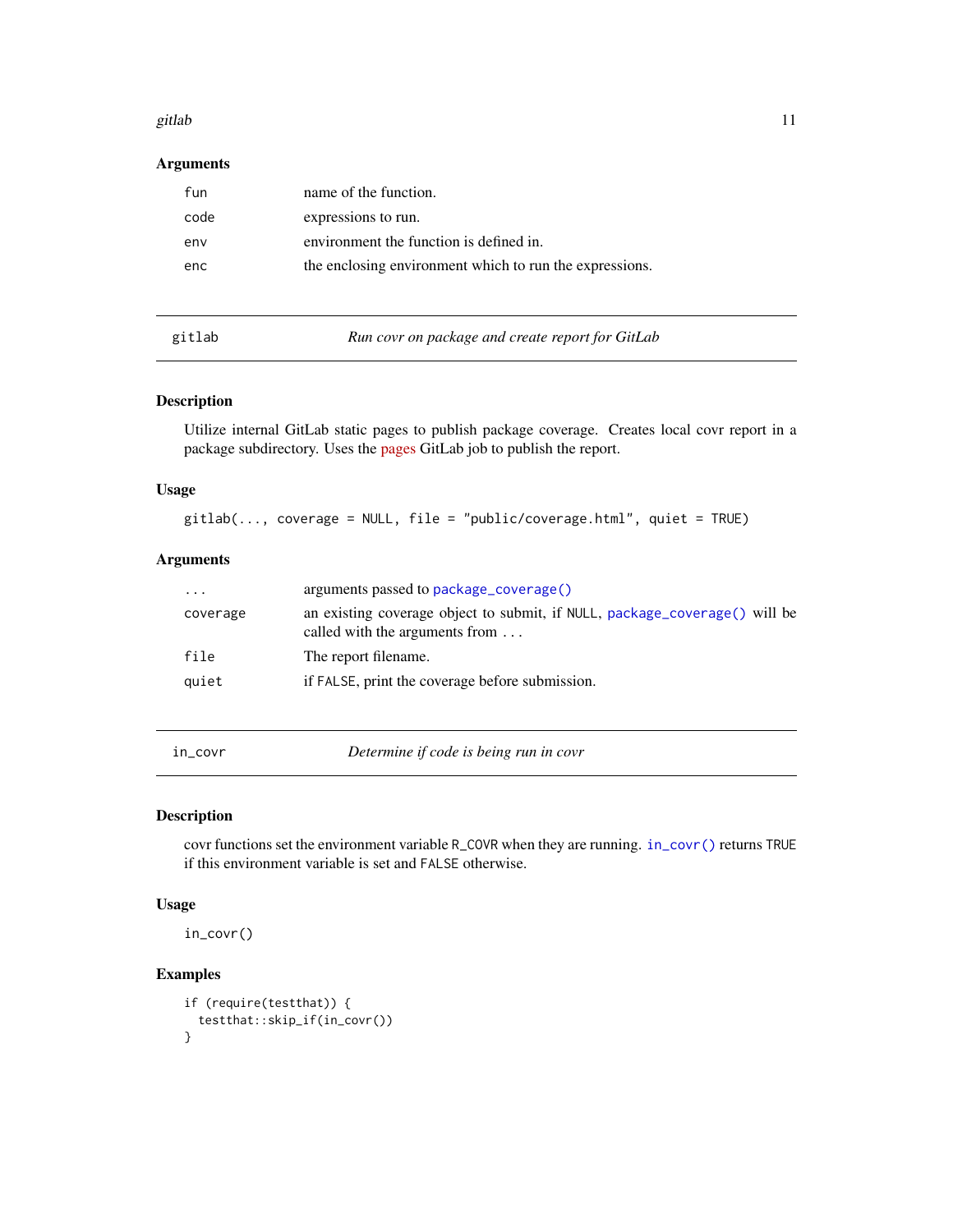#### <span id="page-10-0"></span>gitlab 11

## Arguments

| fun  | name of the function.                                   |
|------|---------------------------------------------------------|
| code | expressions to run.                                     |
| env  | environment the function is defined in.                 |
| enc  | the enclosing environment which to run the expressions. |
|      |                                                         |

| gitlab |  |
|--------|--|
|        |  |

gitlab *Run covr on package and create report for GitLab*

## Description

Utilize internal GitLab static pages to publish package coverage. Creates local covr report in a package subdirectory. Uses the [pages](https://docs.gitlab.com/ee/ci/yaml/README.html#pages) GitLab job to publish the report.

## Usage

gitlab(..., coverage = NULL, file = "public/coverage.html", quiet = TRUE)

## Arguments

| $\cdots$ | arguments passed to package_coverage()                                                                       |
|----------|--------------------------------------------------------------------------------------------------------------|
| coverage | an existing coverage object to submit, if NULL, package_coverage() will be<br>called with the arguments from |
| file     | The report filename.                                                                                         |
| quiet    | if FALSE, print the coverage before submission.                                                              |

<span id="page-10-1"></span>in\_covr *Determine if code is being run in covr*

#### Description

covr functions set the environment variable R\_COVR when they are running. [in\\_covr\(\)](#page-10-1) returns TRUE if this environment variable is set and FALSE otherwise.

#### Usage

in\_covr()

## Examples

```
if (require(testthat)) {
 testthat::skip_if(in_covr())
}
```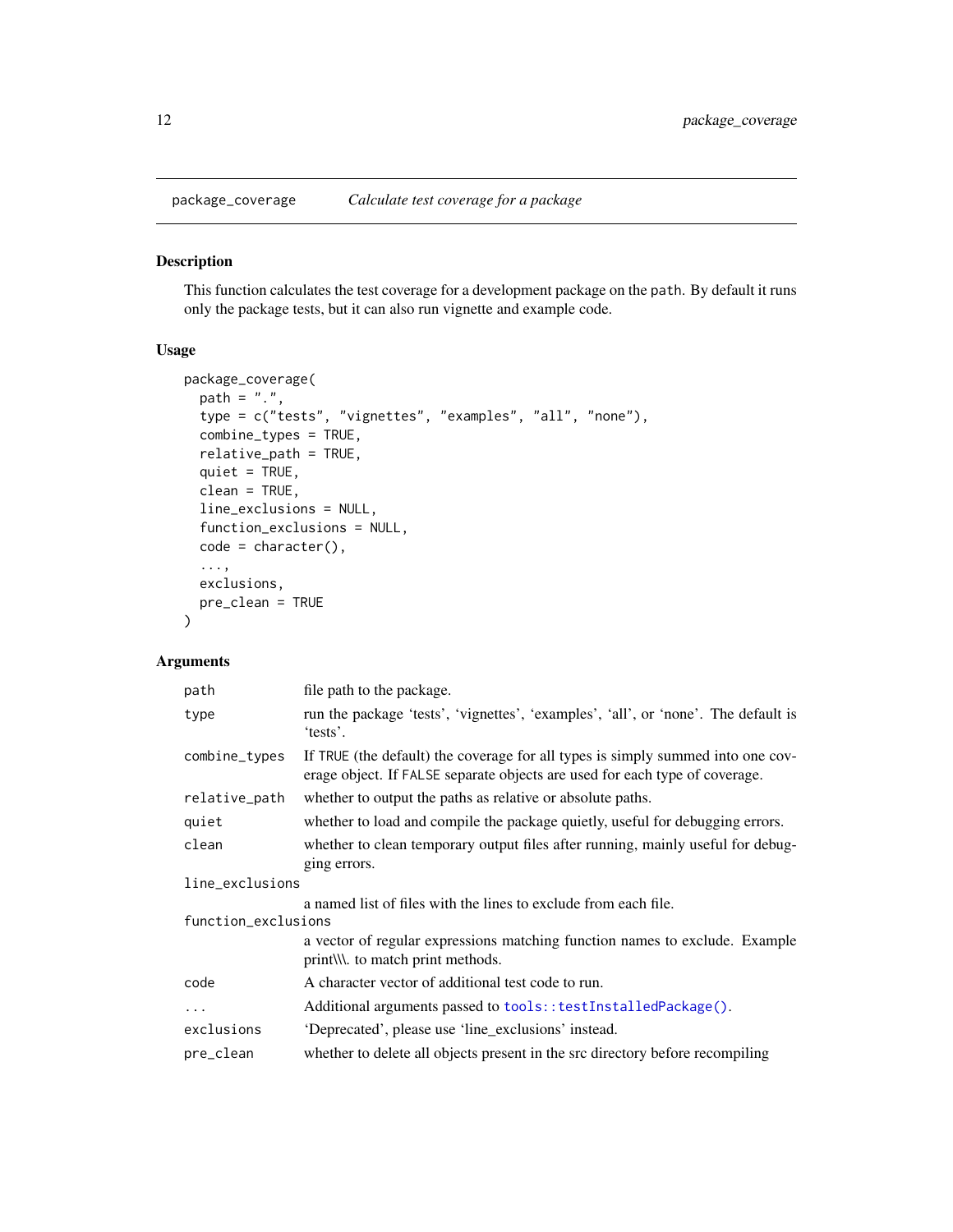<span id="page-11-1"></span><span id="page-11-0"></span>

This function calculates the test coverage for a development package on the path. By default it runs only the package tests, but it can also run vignette and example code.

## Usage

```
package_coverage(
 path = ".'',type = c("tests", "vignettes", "examples", "all", "none"),
  combine_types = TRUE,
  relative_path = TRUE,
  quiet = TRUE,
  clean = TRUE,
  line_exclusions = NULL,
  function_exclusions = NULL,
  code = character(),
  ...,
 exclusions,
 pre_clean = TRUE
)
```

| file path to the package.                                                                                                                                      |
|----------------------------------------------------------------------------------------------------------------------------------------------------------------|
| run the package 'tests', 'vignettes', 'examples', 'all', or 'none'. The default is<br>'tests'.                                                                 |
| If TRUE (the default) the coverage for all types is simply summed into one cov-<br>erage object. If FALSE separate objects are used for each type of coverage. |
| whether to output the paths as relative or absolute paths.                                                                                                     |
| whether to load and compile the package quietly, useful for debugging errors.                                                                                  |
| whether to clean temporary output files after running, mainly useful for debug-<br>ging errors.                                                                |
| line_exclusions                                                                                                                                                |
| a named list of files with the lines to exclude from each file.<br>function_exclusions                                                                         |
| a vector of regular expressions matching function names to exclude. Example<br>print\\\. to match print methods.                                               |
| A character vector of additional test code to run.                                                                                                             |
| Additional arguments passed to tools::testInstalledPackage().                                                                                                  |
| 'Deprecated', please use 'line_exclusions' instead.                                                                                                            |
| whether to delete all objects present in the src directory before recompiling                                                                                  |
|                                                                                                                                                                |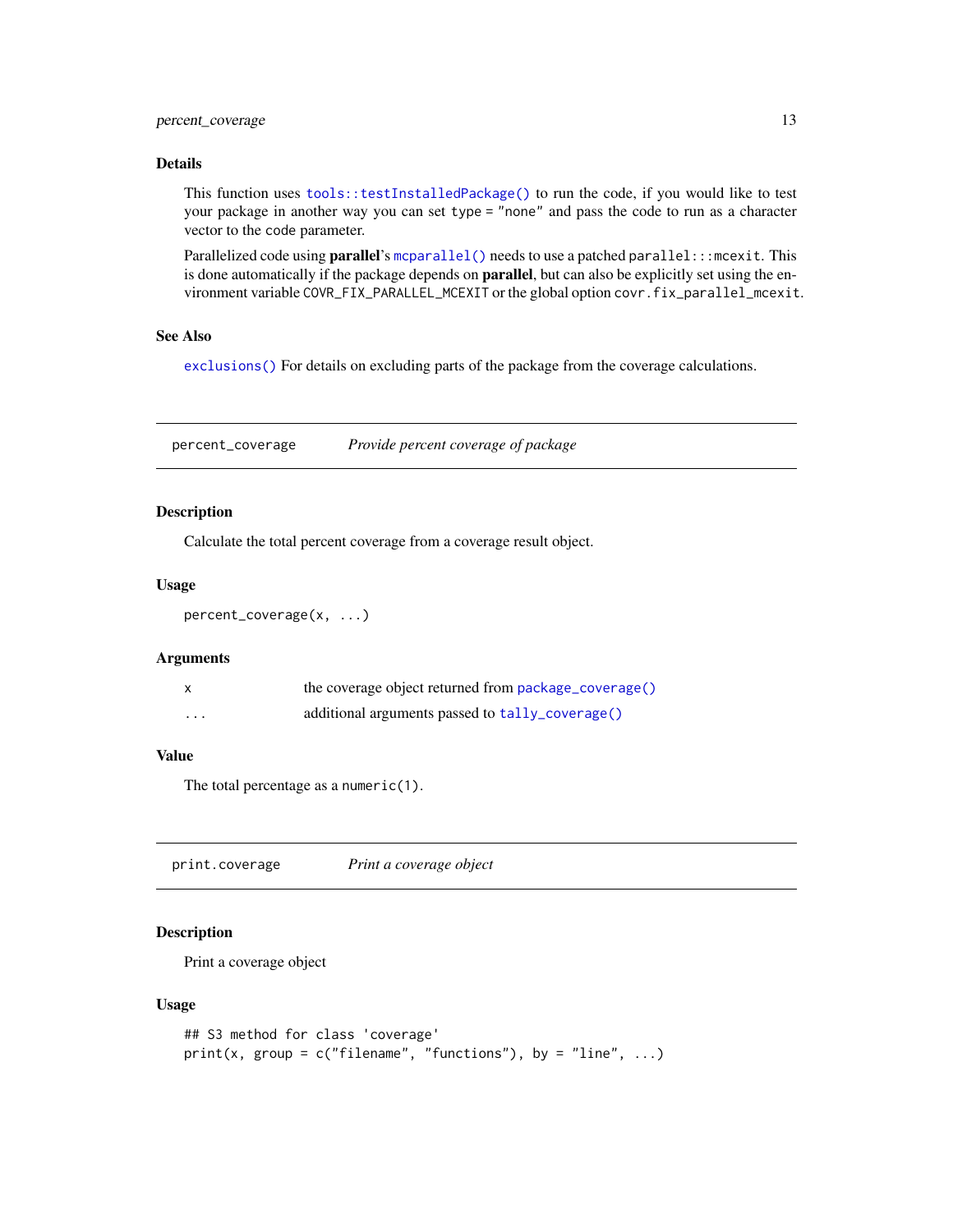#### <span id="page-12-0"></span>Details

This function uses [tools::testInstalledPackage\(\)](#page-0-0) to run the code, if you would like to test your package in another way you can set type = "none" and pass the code to run as a character vector to the code parameter.

Parallelized code using parallel's [mcparallel\(\)](#page-0-0) needs to use a patched parallel::: mcexit. This is done automatically if the package depends on **parallel**, but can also be explicitly set using the environment variable COVR\_FIX\_PARALLEL\_MCEXIT or the global option covr.fix\_parallel\_mcexit.

#### See Also

[exclusions\(\)](#page-7-1) For details on excluding parts of the package from the coverage calculations.

percent\_coverage *Provide percent coverage of package*

### Description

Calculate the total percent coverage from a coverage result object.

#### Usage

```
percent_coverage(x, ...)
```
#### Arguments

|   | the coverage object returned from package_coverage() |
|---|------------------------------------------------------|
| . | additional arguments passed to tally_coverage()      |

#### Value

The total percentage as a numeric(1).

print.coverage *Print a coverage object*

## Description

Print a coverage object

#### Usage

```
## S3 method for class 'coverage'
print(x, group = c("filename", "functions"), by = "line", ...)
```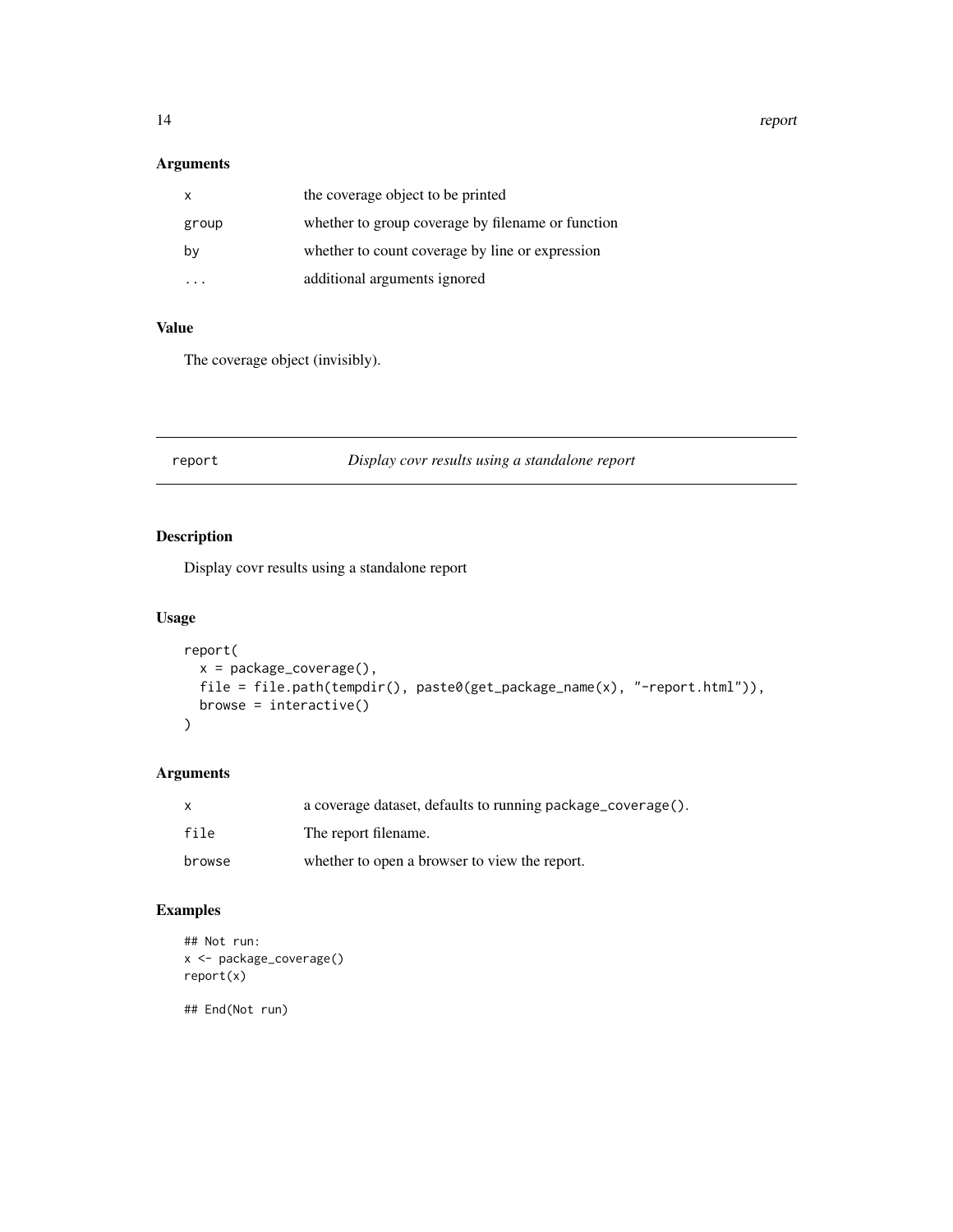<span id="page-13-0"></span>14 report

## Arguments

| x     | the coverage object to be printed                 |
|-------|---------------------------------------------------|
| group | whether to group coverage by filename or function |
| by    | whether to count coverage by line or expression   |
|       | additional arguments ignored                      |

#### Value

The coverage object (invisibly).

report *Display covr results using a standalone report*

## Description

Display covr results using a standalone report

## Usage

```
report(
 x = package_coverage(),
 file = file.path(tempdir(), paste0(get_package_name(x), "-report.html")),
 browse = interactive()
)
```
## Arguments

| $\mathsf{x}$ | a coverage dataset, defaults to running package_coverage(). |
|--------------|-------------------------------------------------------------|
| file         | The report filename.                                        |
| browse       | whether to open a browser to view the report.               |

## Examples

```
## Not run:
x <- package_coverage()
report(x)
```
## End(Not run)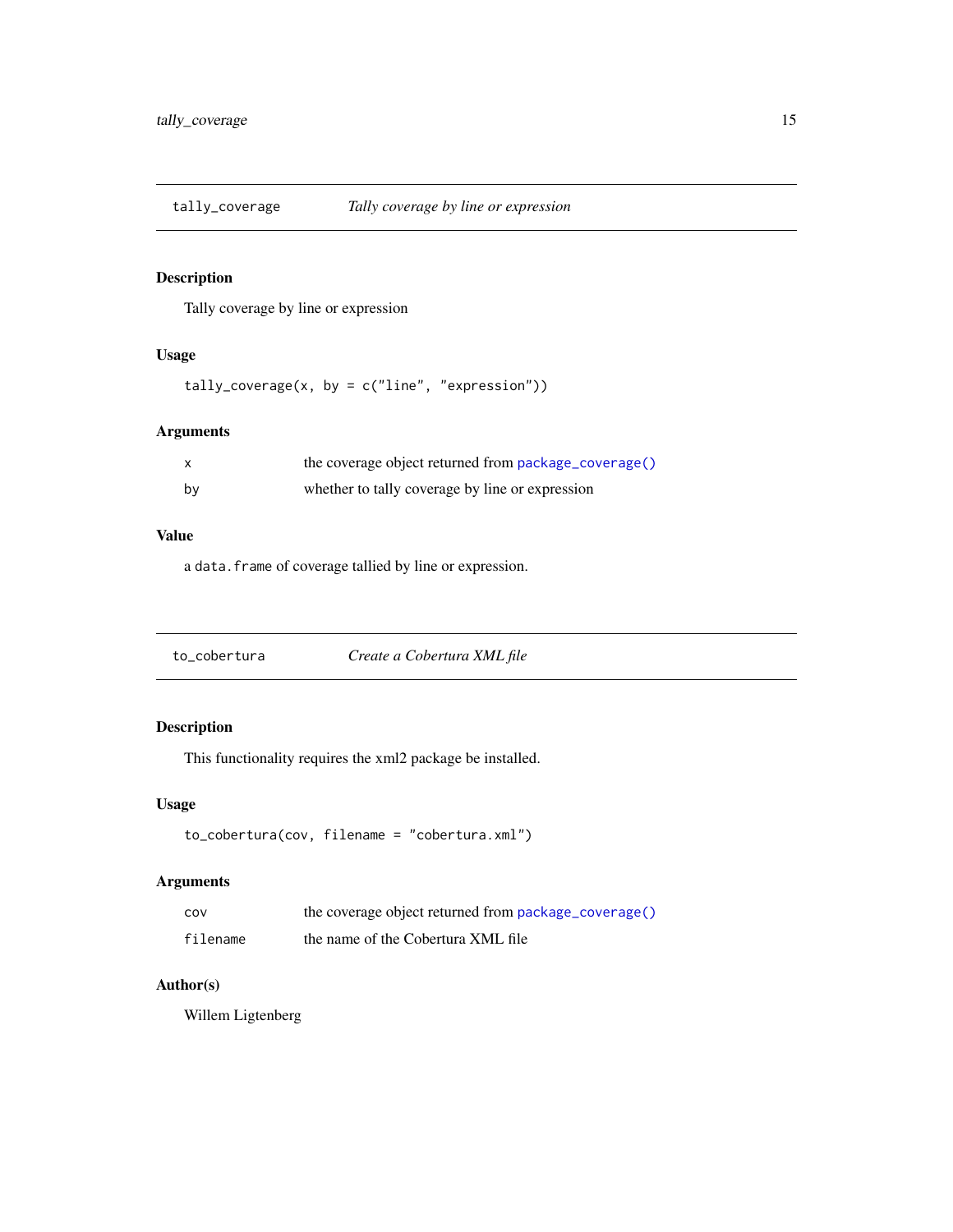<span id="page-14-1"></span><span id="page-14-0"></span>

Tally coverage by line or expression

## Usage

 $tally\_coverage(x, by = c("line", "expression"))$ 

## Arguments

|    | the coverage object returned from package_coverage() |
|----|------------------------------------------------------|
| bv | whether to tally coverage by line or expression      |

#### Value

a data.frame of coverage tallied by line or expression.

to\_cobertura *Create a Cobertura XML file*

## Description

This functionality requires the xml2 package be installed.

## Usage

```
to_cobertura(cov, filename = "cobertura.xml")
```
## Arguments

| COV      | the coverage object returned from package_coverage() |
|----------|------------------------------------------------------|
| filename | the name of the Cobertura XML file                   |

## Author(s)

Willem Ligtenberg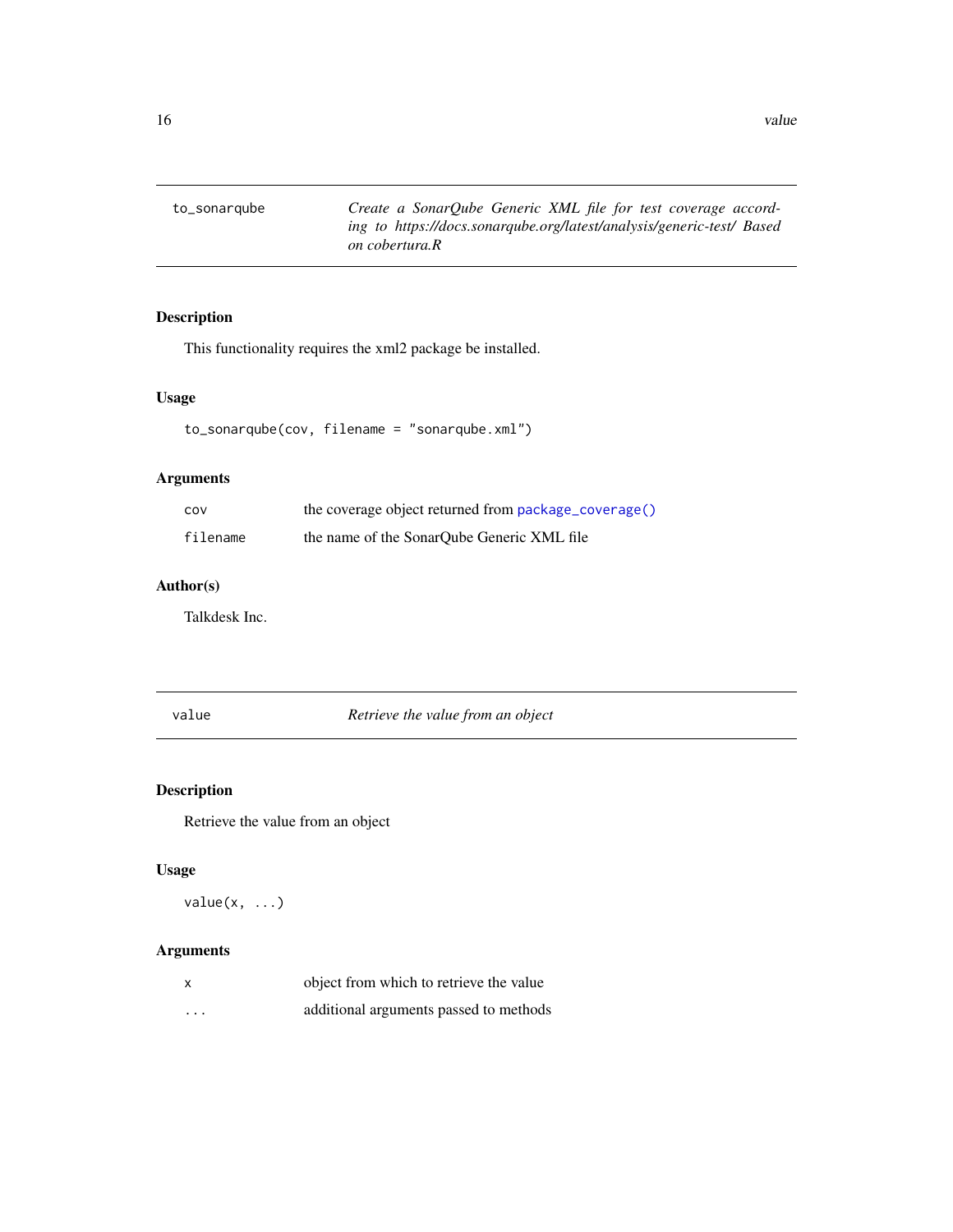<span id="page-15-0"></span>to\_sonarqube *Create a SonarQube Generic XML file for test coverage according to https://docs.sonarqube.org/latest/analysis/generic-test/ Based on cobertura.R*

## Description

This functionality requires the xml2 package be installed.

#### Usage

```
to_sonarqube(cov, filename = "sonarqube.xml")
```
## Arguments

| cov      | the coverage object returned from package_coverage() |
|----------|------------------------------------------------------|
| filename | the name of the SonarOube Generic XML file           |

## Author(s)

Talkdesk Inc.

value *Retrieve the value from an object*

## Description

Retrieve the value from an object

#### Usage

 $value(x, \ldots)$ 

| $\mathsf{x}$ | object from which to retrieve the value |
|--------------|-----------------------------------------|
| $\cdots$     | additional arguments passed to methods  |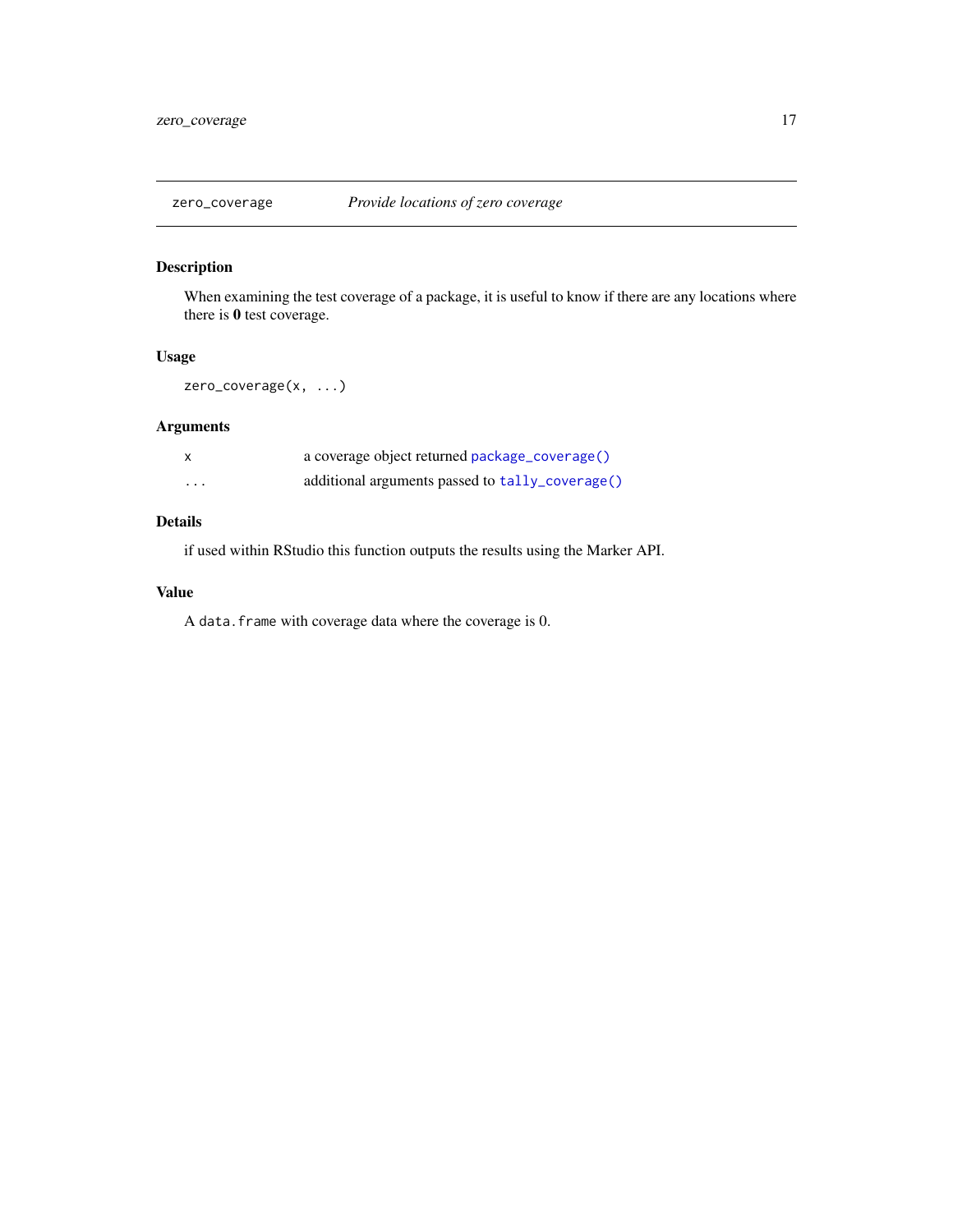<span id="page-16-0"></span>

When examining the test coverage of a package, it is useful to know if there are any locations where there is 0 test coverage.

#### Usage

zero\_coverage(x, ...)

## Arguments

|         | a coverage object returned package_coverage()   |
|---------|-------------------------------------------------|
| $\cdot$ | additional arguments passed to tally_coverage() |

## Details

if used within RStudio this function outputs the results using the Marker API.

#### Value

A data.frame with coverage data where the coverage is 0.